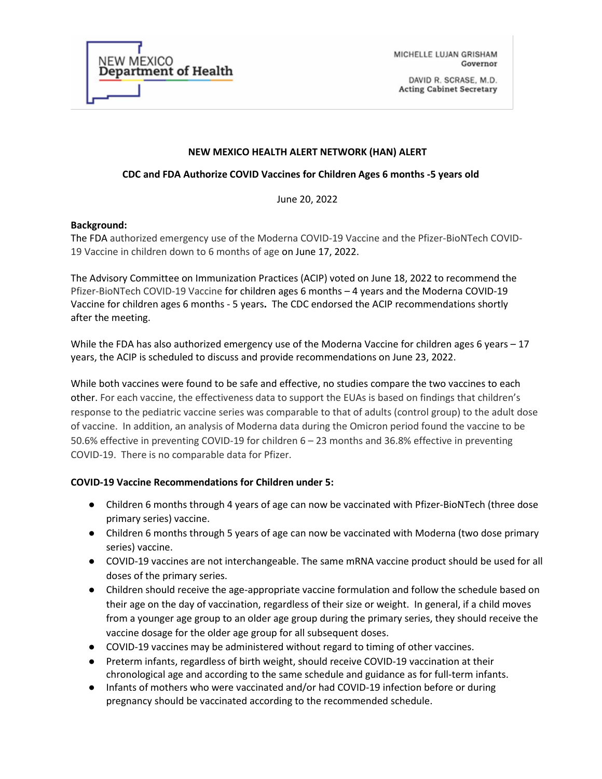

MICHELLE LUJAN GRISHAM Governor

DAVID R. SCRASE, M.D. **Acting Cabinet Secretary** 

#### **NEW MEXICO HEALTH ALERT NETWORK (HAN) ALERT**

### **CDC and FDA Authorize COVID Vaccines for Children Ages 6 months -5 years old**

June 20, 2022

### **Background:**

The FDA authorized emergency use of the Moderna COVID-19 Vaccine and the Pfizer-BioNTech COVID-19 Vaccine in children down to 6 months of age on June 17, 2022.

The Advisory Committee on Immunization Practices (ACIP) voted on June 18, 2022 to recommend the Pfizer-BioNTech COVID-19 Vaccine for children ages 6 months – 4 years and the Moderna COVID-19 Vaccine for children ages 6 months - 5 years**.** The CDC endorsed the ACIP recommendations shortly after the meeting.

While the FDA has also authorized emergency use of the Moderna Vaccine for children ages 6 years – 17 years, the ACIP is scheduled to discuss and provide recommendations on June 23, 2022.

While both vaccines were found to be safe and effective, no studies compare the two vaccines to each other. For each vaccine, the effectiveness data to support the EUAs is based on findings that children's response to the pediatric vaccine series was comparable to that of adults (control group) to the adult dose of vaccine. In addition, an analysis of Moderna data during the Omicron period found the vaccine to be 50.6% effective in preventing COVID-19 for children 6 – 23 months and 36.8% effective in preventing COVID-19. There is no comparable data for Pfizer.

### **COVID-19 Vaccine Recommendations for Children under 5:**

- Children 6 months through 4 years of age can now be vaccinated with Pfizer-BioNTech (three dose primary series) vaccine.
- Children 6 months through 5 years of age can now be vaccinated with Moderna (two dose primary series) vaccine.
- COVID-19 vaccines are not interchangeable. The same mRNA vaccine product should be used for all doses of the primary series.
- Children should receive the age-appropriate vaccine formulation and follow the schedule based on their age on the day of vaccination, regardless of their size or weight. In general, if a child moves from a younger age group to an older age group during the primary series, they should receive the vaccine dosage for the older age group for all subsequent doses.
- COVID-19 vaccines may be administered without regard to timing of other vaccines.
- Preterm infants, regardless of birth weight, should receive COVID-19 vaccination at their chronological age and according to the same schedule and guidance as for full-term infants.
- Infants of mothers who were vaccinated and/or had COVID-19 infection before or during pregnancy should be vaccinated according to the recommended schedule.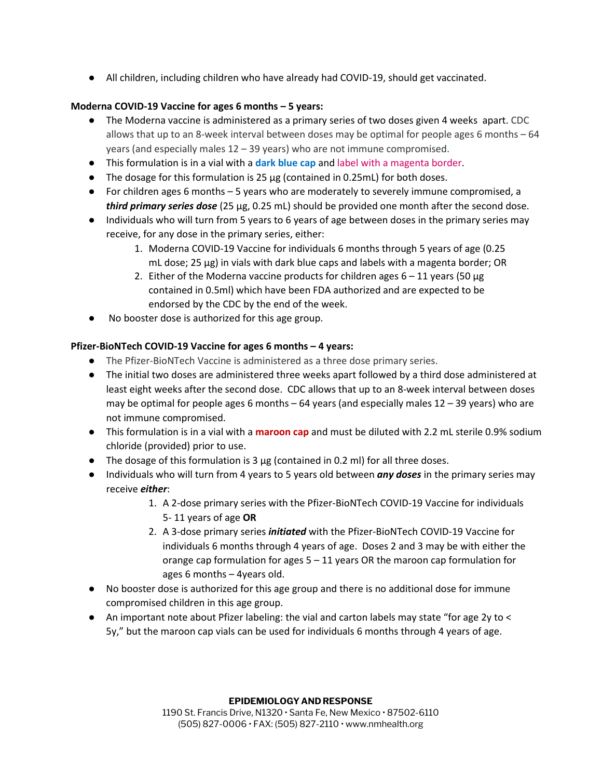● All children, including children who have already had COVID-19, should get vaccinated.

# **Moderna COVID-19 Vaccine for ages 6 months – 5 years:**

- The Moderna vaccine is administered as a primary series of two doses given 4 weeks apart. CDC allows that up to an 8-week interval between doses may be optimal for people ages 6 months  $-64$ years (and especially males 12 – 39 years) who are not immune compromised.
- This formulation is in a vial with a **dark blue cap** and label with a magenta border.
- The dosage for this formulation is 25 µg (contained in 0.25mL) for both doses.
- For children ages 6 months 5 years who are moderately to severely immune compromised, a *third primary series dose* (25 µg, 0.25 mL) should be provided one month after the second dose.
- Individuals who will turn from 5 years to 6 years of age between doses in the primary series may receive, for any dose in the primary series, either:
	- 1. Moderna COVID-19 Vaccine for individuals 6 months through 5 years of age (0.25 mL dose; 25 µg) in vials with dark blue caps and labels with a magenta border; OR
	- 2. Either of the Moderna vaccine products for children ages  $6 11$  years (50 µg contained in 0.5ml) which have been FDA authorized and are expected to be endorsed by the CDC by the end of the week.
- No booster dose is authorized for this age group.

# **Pfizer-BioNTech COVID-19 Vaccine for ages 6 months – 4 years:**

- The Pfizer-BioNTech Vaccine is administered as a three dose primary series.
- The initial two doses are administered three weeks apart followed by a third dose administered at least eight weeks after the second dose. CDC allows that up to an 8-week interval between doses may be optimal for people ages 6 months  $-64$  years (and especially males  $12 - 39$  years) who are not immune compromised.
- This formulation is in a vial with a **maroon cap** and must be diluted with 2.2 mL sterile 0.9% sodium chloride (provided) prior to use.
- $\bullet$  The dosage of this formulation is 3  $\mu$ g (contained in 0.2 ml) for all three doses.
- Individuals who will turn from 4 years to 5 years old between *any doses* in the primary series may receive *either*:
	- 1. A 2-dose primary series with the Pfizer-BioNTech COVID-19 Vaccine for individuals 5- 11 years of age **OR**
	- 2. A 3-dose primary series *initiated* with the Pfizer-BioNTech COVID-19 Vaccine for individuals 6 months through 4 years of age. Doses 2 and 3 may be with either the orange cap formulation for ages 5 – 11 years OR the maroon cap formulation for ages 6 months – 4years old.
- No booster dose is authorized for this age group and there is no additional dose for immune compromised children in this age group.
- An important note about Pfizer labeling: the vial and carton labels may state "for age 2y to < 5y," but the maroon cap vials can be used for individuals 6 months through 4 years of age.

#### **EPIDEMIOLOGY AND RESPONSE**

1190 St. Francis Drive, N1320 · Santa Fe, New Mexico · 87502-6110 (505) 827-0006 • FAX: (505) 827-2110 • www.nmhealth.org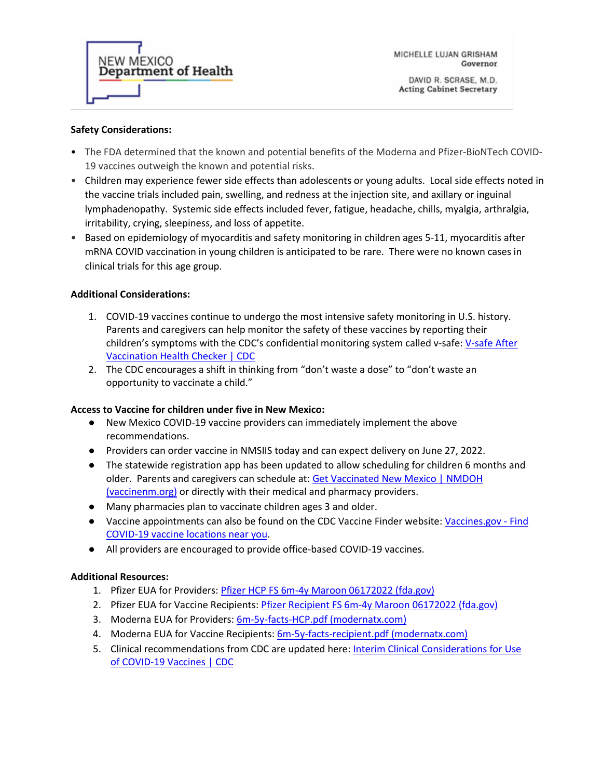

MICHELLE LUJAN GRISHAM Governor

### **Safety Considerations:**

- The FDA determined that the known and potential benefits of the Moderna and Pfizer-BioNTech COVID-19 vaccines outweigh the known and potential risks.
- Children may experience fewer side effects than adolescents or young adults. Local side effects noted in the vaccine trials included pain, swelling, and redness at the injection site, and axillary or inguinal lymphadenopathy. Systemic side effects included fever, fatigue, headache, chills, myalgia, arthralgia, irritability, crying, sleepiness, and loss of appetite.
- Based on epidemiology of myocarditis and safety monitoring in children ages 5-11, myocarditis after mRNA COVID vaccination in young children is anticipated to be rare. There were no known cases in clinical trials for this age group.

## **Additional Considerations:**

- 1. COVID-19 vaccines continue to undergo the most intensive safety monitoring in U.S. history. Parents and caregivers can help monitor the safety of these vaccines by reporting their children's symptoms with the CDC's confidential monitoring system called v-safe: V-safe After [Vaccination Health Checker | CDC](https://www.cdc.gov/coronavirus/2019-ncov/vaccines/safety/vsafe.html)
- 2. The CDC encourages a shift in thinking from "don't waste a dose" to "don't waste an opportunity to vaccinate a child."

### **Access to Vaccine for children under five in New Mexico:**

- New Mexico COVID-19 vaccine providers can immediately implement the above recommendations.
- Providers can order vaccine in NMSIIS today and can expect delivery on June 27, 2022.
- The statewide registration app has been updated to allow scheduling for children 6 months and older. Parents and caregivers can schedule at: Get Vaccinated New Mexico | NMDOH [\(vaccinenm.org\)](https://goodtimes.vaccinenm.org/stay-ahead-nm/) or directly with their medical and pharmacy providers.
- Many pharmacies plan to vaccinate children ages 3 and older.
- Vaccine appointments can also be found on the CDC Vaccine Finder website[: Vaccines.gov -](https://www.vaccines.gov/) Find [COVID-19 vaccine locations near you.](https://www.vaccines.gov/)
- All providers are encouraged to provide office-based COVID-19 vaccines.

### **Additional Resources:**

- 1. Pfizer EUA for Providers[: Pfizer HCP FS 6m-4y Maroon 06172022 \(fda.gov\)](https://www.fda.gov/media/159312/download)
- 2. Pfizer EUA for Vaccine Recipients[: Pfizer Recipient FS 6m-4y Maroon 06172022 \(fda.gov\)](https://www.fda.gov/media/159313/download)
- 3. Moderna EUA for Providers[: 6m-5y-facts-HCP.pdf \(modernatx.com\)](https://eua.modernatx.com/covid19vaccine-eua/6m-5y-facts-HCP.pdf)
- 4. Moderna EUA for Vaccine Recipients: [6m-5y-facts-recipient.pdf \(modernatx.com\)](https://eua.modernatx.com/covid19vaccine-eua/6m-5y-facts-recipient.pdf)
- 5. Clinical recommendations from CDC are updated here: [Interim Clinical Considerations for Use](https://www.cdc.gov/vaccines/covid-19/clinical-considerations/covid-19-vaccines-us.html#booster-dose)  [of COVID-19 Vaccines | CDC](https://www.cdc.gov/vaccines/covid-19/clinical-considerations/covid-19-vaccines-us.html#booster-dose)